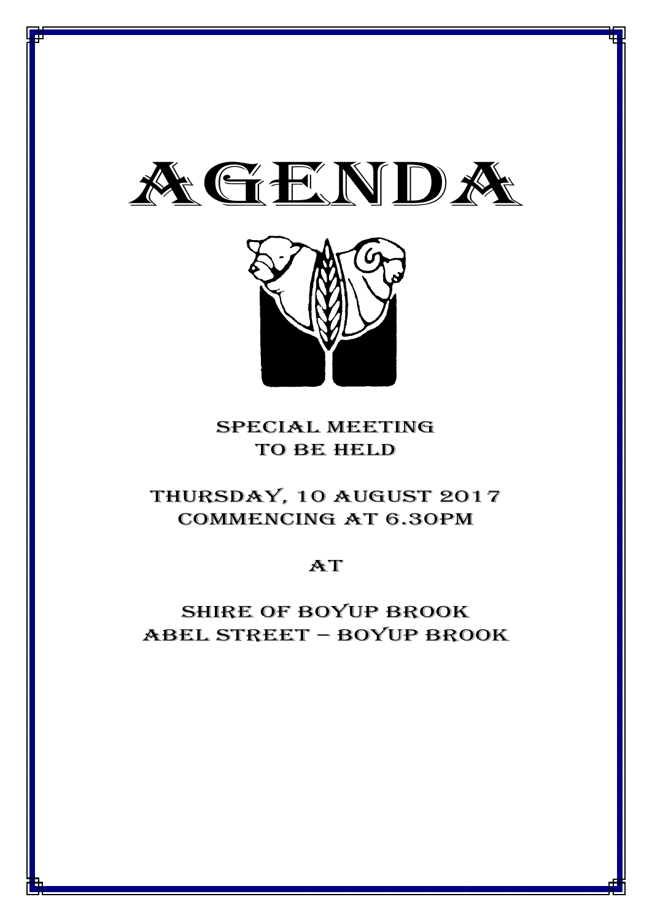



# special meeting TO BE HELD

# thursday, 10 AUGUST 2017 Commencing at 6.30PM

# **AT**

# Shire of boyup brook ABEL STREET – BOYUP BROOK

1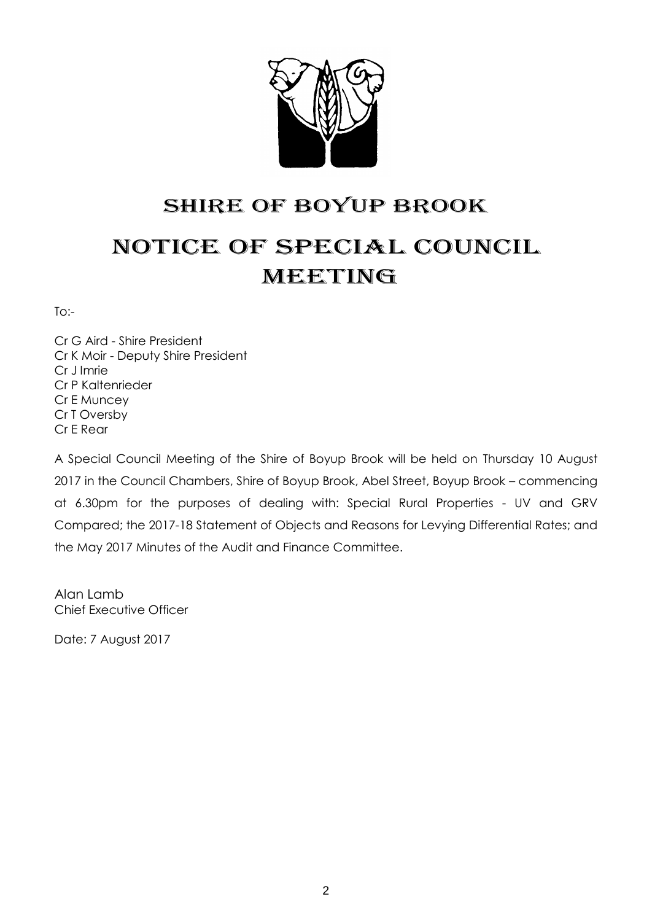

# SHIRE OF BOYUP BROOK NOTICE OF SPECIAL COUNCIL MEETING

To:-

Cr G Aird - Shire President Cr K Moir - Deputy Shire President Cr J Imrie Cr P Kaltenrieder Cr E Muncey Cr T Oversby Cr E Rear

A Special Council Meeting of the Shire of Boyup Brook will be held on Thursday 10 August 2017 in the Council Chambers, Shire of Boyup Brook, Abel Street, Boyup Brook – commencing at 6.30pm for the purposes of dealing with: Special Rural Properties - UV and GRV Compared; the 2017-18 Statement of Objects and Reasons for Levying Differential Rates; and the May 2017 Minutes of the Audit and Finance Committee.

Alan Lamb Chief Executive Officer

Date: 7 August 2017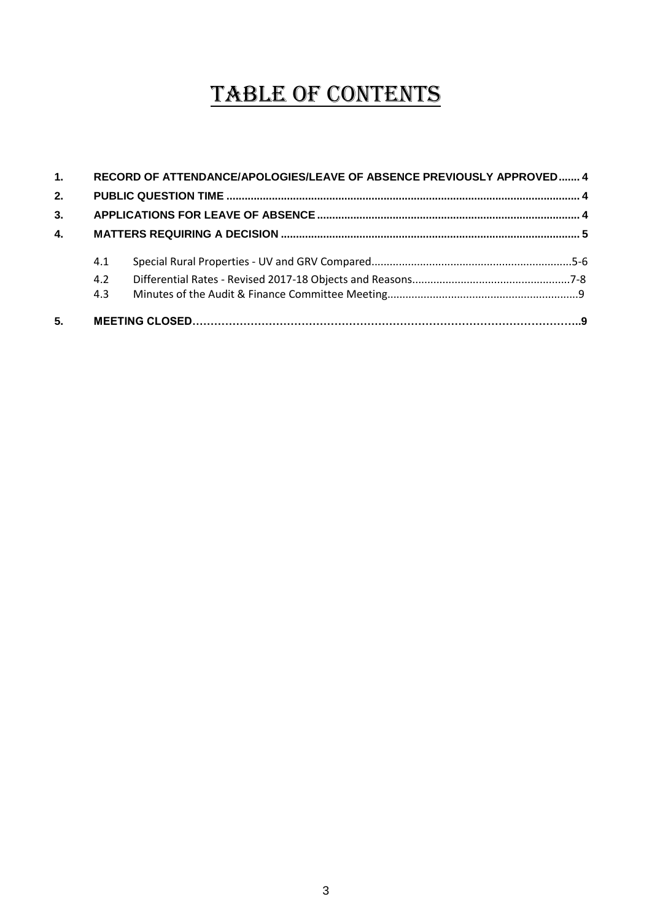# TABLE OF CONTENTS

| 1. |     | RECORD OF ATTENDANCE/APOLOGIES/LEAVE OF ABSENCE PREVIOUSLY APPROVED 4 |  |  |
|----|-----|-----------------------------------------------------------------------|--|--|
| 2. |     |                                                                       |  |  |
| 3. |     |                                                                       |  |  |
| 4. |     |                                                                       |  |  |
|    | 4.1 |                                                                       |  |  |
|    | 4.2 |                                                                       |  |  |
|    | 4.3 |                                                                       |  |  |
| 5. |     |                                                                       |  |  |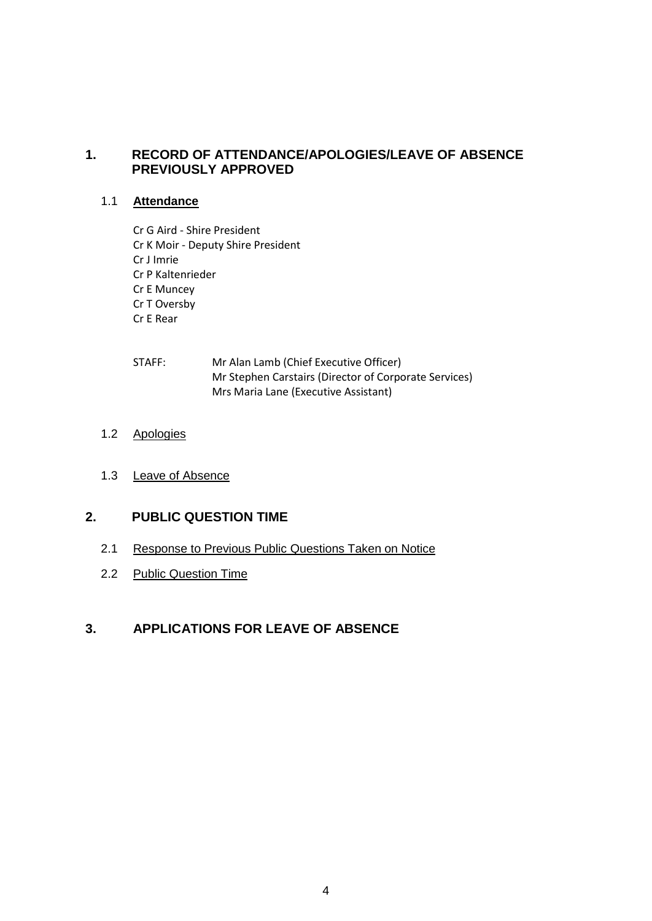# <span id="page-3-0"></span>**1. RECORD OF ATTENDANCE/APOLOGIES/LEAVE OF ABSENCE PREVIOUSLY APPROVED**

# 1.1 **Attendance**

- Cr G Aird Shire President Cr K Moir - Deputy Shire President Cr J Imrie Cr P Kaltenrieder Cr E Muncey Cr T Oversby Cr E Rear
- STAFF: Mr Alan Lamb (Chief Executive Officer) Mr Stephen Carstairs (Director of Corporate Services) Mrs Maria Lane (Executive Assistant)

# 1.2 Apologies

1.3 Leave of Absence

# <span id="page-3-1"></span>**2. PUBLIC QUESTION TIME**

- 2.1 Response to Previous Public Questions Taken on Notice
- 2.2 Public Question Time

# <span id="page-3-2"></span>**3. APPLICATIONS FOR LEAVE OF ABSENCE**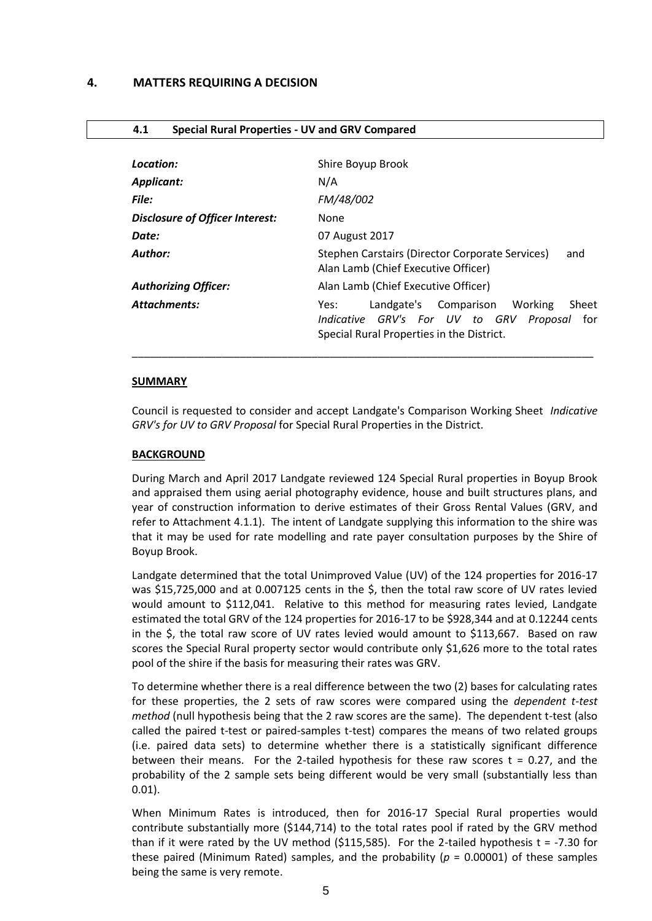| Location:                              | Shire Boyup Brook                                                                                                                             |
|----------------------------------------|-----------------------------------------------------------------------------------------------------------------------------------------------|
| Applicant:                             | N/A                                                                                                                                           |
| <b>File:</b>                           | FM/48/002                                                                                                                                     |
| <b>Disclosure of Officer Interest:</b> | None                                                                                                                                          |
| Date:                                  | 07 August 2017                                                                                                                                |
| Author:                                | Stephen Carstairs (Director Corporate Services)<br>and<br>Alan Lamb (Chief Executive Officer)                                                 |
| <b>Authorizing Officer:</b>            | Alan Lamb (Chief Executive Officer)                                                                                                           |
| <b>Attachments:</b>                    | Landgate's Comparison Working<br>Sheet<br>Yes:<br>Indicative GRV's For UV to GRV Proposal<br>for<br>Special Rural Properties in the District. |

#### <span id="page-4-0"></span>**4.1 Special Rural Properties - UV and GRV Compared**

#### **SUMMARY**

Council is requested to consider and accept Landgate's Comparison Working Sheet *Indicative GRV's for UV to GRV Proposal* for Special Rural Properties in the District.

#### **BACKGROUND**

During March and April 2017 Landgate reviewed 124 Special Rural properties in Boyup Brook and appraised them using aerial photography evidence, house and built structures plans, and year of construction information to derive estimates of their Gross Rental Values (GRV, and refer to Attachment 4.1.1). The intent of Landgate supplying this information to the shire was that it may be used for rate modelling and rate payer consultation purposes by the Shire of Boyup Brook.

Landgate determined that the total Unimproved Value (UV) of the 124 properties for 2016-17 was \$15,725,000 and at 0.007125 cents in the \$, then the total raw score of UV rates levied would amount to \$112,041. Relative to this method for measuring rates levied, Landgate estimated the total GRV of the 124 properties for 2016-17 to be \$928,344 and at 0.12244 cents in the \$, the total raw score of UV rates levied would amount to \$113,667. Based on raw scores the Special Rural property sector would contribute only \$1,626 more to the total rates pool of the shire if the basis for measuring their rates was GRV.

To determine whether there is a real difference between the two (2) bases for calculating rates for these properties, the 2 sets of raw scores were compared using the *dependent t-test method* (null hypothesis being that the 2 raw scores are the same). The dependent t-test (also called the paired t-test or paired-samples t-test) compares the means of two related groups (i.e. paired data sets) to determine whether there is a statistically significant difference between their means. For the 2-tailed hypothesis for these raw scores  $t = 0.27$ , and the probability of the 2 sample sets being different would be very small (substantially less than 0.01).

When Minimum Rates is introduced, then for 2016-17 Special Rural properties would contribute substantially more (\$144,714) to the total rates pool if rated by the GRV method than if it were rated by the UV method (\$115,585). For the 2-tailed hypothesis t = -7.30 for these paired (Minimum Rated) samples, and the probability ( $p = 0.00001$ ) of these samples being the same is very remote.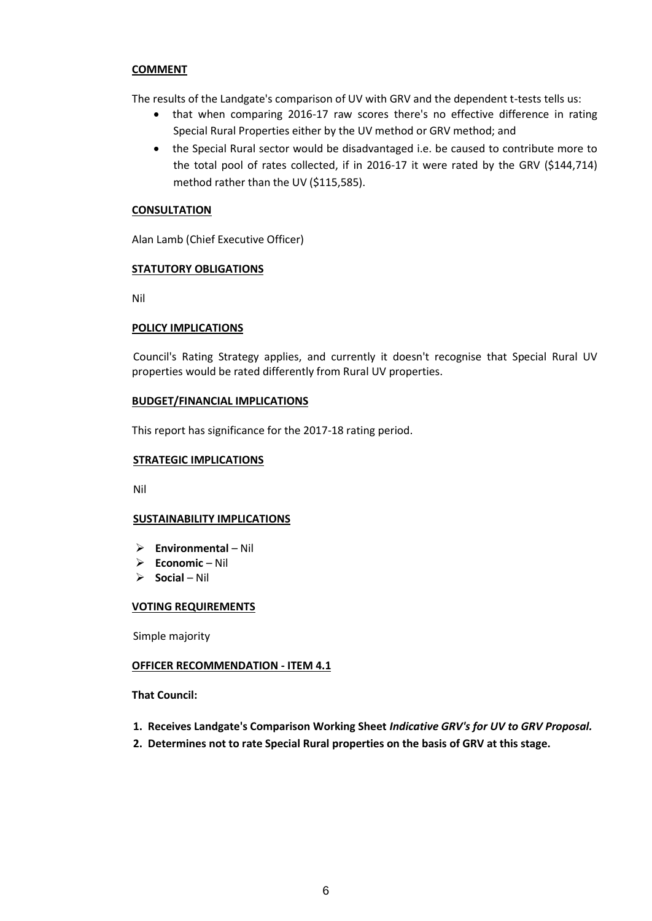# **COMMENT**

The results of the Landgate's comparison of UV with GRV and the dependent t-tests tells us:

- that when comparing 2016-17 raw scores there's no effective difference in rating Special Rural Properties either by the UV method or GRV method; and
- the Special Rural sector would be disadvantaged i.e. be caused to contribute more to the total pool of rates collected, if in 2016-17 it were rated by the GRV (\$144,714) method rather than the UV (\$115,585).

# **CONSULTATION**

Alan Lamb (Chief Executive Officer)

## **STATUTORY OBLIGATIONS**

Nil

## **POLICY IMPLICATIONS**

Council's Rating Strategy applies, and currently it doesn't recognise that Special Rural UV properties would be rated differently from Rural UV properties.

# **BUDGET/FINANCIAL IMPLICATIONS**

This report has significance for the 2017-18 rating period.

### **STRATEGIC IMPLICATIONS**

Nil

# **SUSTAINABILITY IMPLICATIONS**

- **Environmental**  Nil
- **Economic**  Nil
- **Social**  Nil

#### **VOTING REQUIREMENTS**

Simple majority

# **OFFICER RECOMMENDATION - ITEM 4.1**

**That Council:**

- **1. Receives Landgate's Comparison Working Sheet** *Indicative GRV's for UV to GRV Proposal.*
- **2. Determines not to rate Special Rural properties on the basis of GRV at this stage.**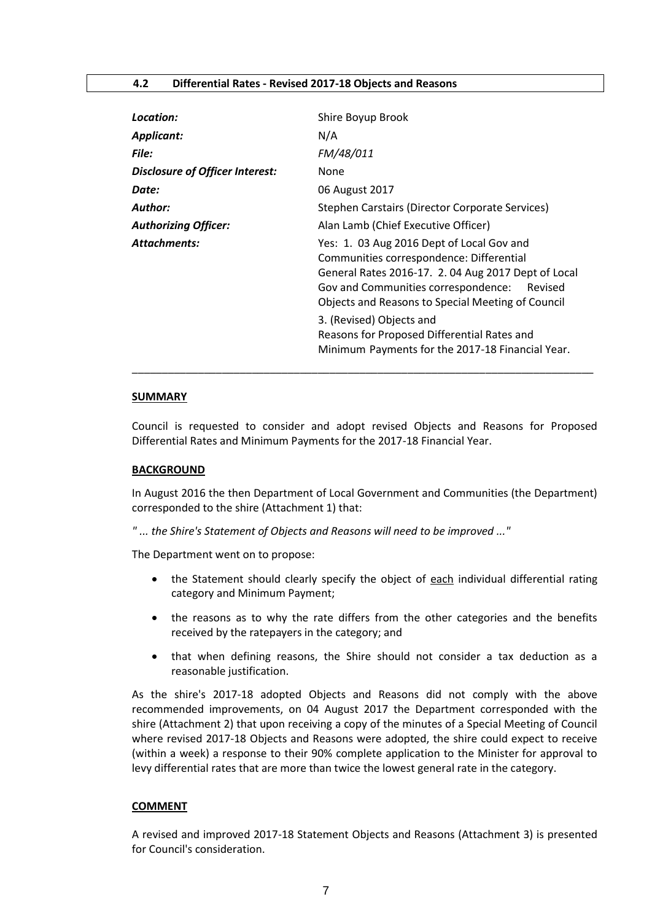| Location:                              | Shire Boyup Brook                                                                                                                                                                                                                                                                                                             |  |
|----------------------------------------|-------------------------------------------------------------------------------------------------------------------------------------------------------------------------------------------------------------------------------------------------------------------------------------------------------------------------------|--|
| Applicant:                             | N/A                                                                                                                                                                                                                                                                                                                           |  |
| <b>File:</b>                           | FM/48/011                                                                                                                                                                                                                                                                                                                     |  |
| <b>Disclosure of Officer Interest:</b> | None                                                                                                                                                                                                                                                                                                                          |  |
| Date:                                  | 06 August 2017                                                                                                                                                                                                                                                                                                                |  |
| Author:                                | Stephen Carstairs (Director Corporate Services)                                                                                                                                                                                                                                                                               |  |
| <b>Authorizing Officer:</b>            | Alan Lamb (Chief Executive Officer)                                                                                                                                                                                                                                                                                           |  |
| <b>Attachments:</b>                    | Yes: 1. 03 Aug 2016 Dept of Local Gov and<br>Communities correspondence: Differential<br>General Rates 2016-17. 2.04 Aug 2017 Dept of Local<br>Gov and Communities correspondence:<br>Revised<br>Objects and Reasons to Special Meeting of Council<br>3. (Revised) Objects and<br>Reasons for Proposed Differential Rates and |  |
|                                        | Minimum Payments for the 2017-18 Financial Year.                                                                                                                                                                                                                                                                              |  |

#### **SUMMARY**

Council is requested to consider and adopt revised Objects and Reasons for Proposed Differential Rates and Minimum Payments for the 2017-18 Financial Year.

\_\_\_\_\_\_\_\_\_\_\_\_\_\_\_\_\_\_\_\_\_\_\_\_\_\_\_\_\_\_\_\_\_\_\_\_\_\_\_\_\_\_\_\_\_\_\_\_\_\_\_\_\_\_\_\_\_\_\_\_\_\_\_\_\_\_\_\_\_\_\_\_\_\_\_\_\_

#### **BACKGROUND**

In August 2016 the then Department of Local Government and Communities (the Department) corresponded to the shire (Attachment 1) that:

*" ... the Shire's Statement of Objects and Reasons will need to be improved ..."*

The Department went on to propose:

- the Statement should clearly specify the object of each individual differential rating category and Minimum Payment;
- the reasons as to why the rate differs from the other categories and the benefits received by the ratepayers in the category; and
- that when defining reasons, the Shire should not consider a tax deduction as a reasonable justification.

As the shire's 2017-18 adopted Objects and Reasons did not comply with the above recommended improvements, on 04 August 2017 the Department corresponded with the shire (Attachment 2) that upon receiving a copy of the minutes of a Special Meeting of Council where revised 2017-18 Objects and Reasons were adopted, the shire could expect to receive (within a week) a response to their 90% complete application to the Minister for approval to levy differential rates that are more than twice the lowest general rate in the category.

#### **COMMENT**

A revised and improved 2017-18 Statement Objects and Reasons (Attachment 3) is presented for Council's consideration.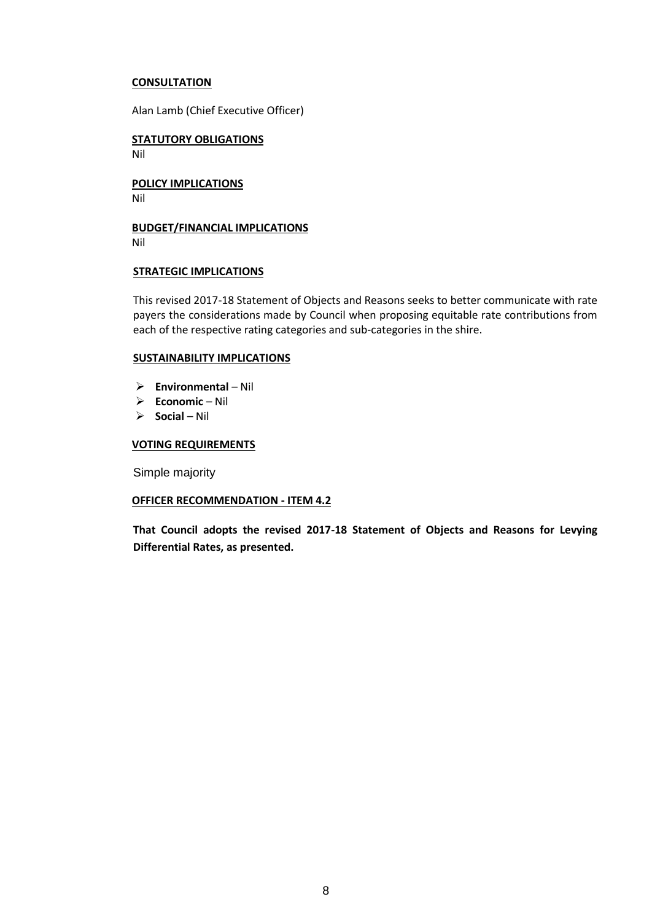# **CONSULTATION**

Alan Lamb (Chief Executive Officer)

**STATUTORY OBLIGATIONS** Nil

**POLICY IMPLICATIONS** Nil

**BUDGET/FINANCIAL IMPLICATIONS** Nil

## **STRATEGIC IMPLICATIONS**

This revised 2017-18 Statement of Objects and Reasons seeks to better communicate with rate payers the considerations made by Council when proposing equitable rate contributions from each of the respective rating categories and sub-categories in the shire.

## **SUSTAINABILITY IMPLICATIONS**

- **Environmental**  Nil
- **Economic**  Nil
- **Social**  Nil

### **VOTING REQUIREMENTS**

Simple majority

#### **OFFICER RECOMMENDATION - ITEM 4.2**

**That Council adopts the revised 2017-18 Statement of Objects and Reasons for Levying Differential Rates, as presented.**